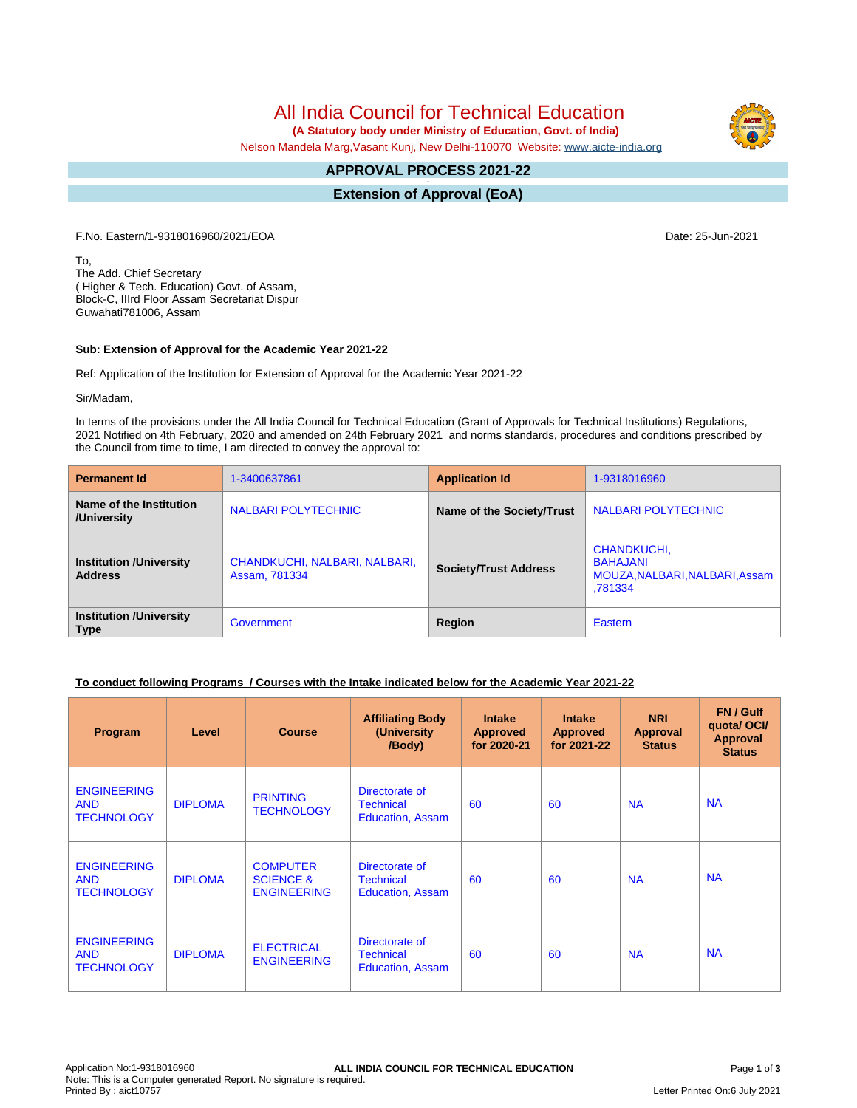# All India Council for Technical Education

 **(A Statutory body under Ministry of Education, Govt. of India)**

Nelson Mandela Marg,Vasant Kunj, New Delhi-110070 Website: [www.aicte-india.org](http://www.aicte-india.org)

#### **APPROVAL PROCESS 2021-22 -**

**Extension of Approval (EoA)**

F.No. Eastern/1-9318016960/2021/EOA Date: 25-Jun-2021

To, The Add. Chief Secretary ( Higher & Tech. Education) Govt. of Assam, Block-C, IIIrd Floor Assam Secretariat Dispur Guwahati781006, Assam

#### **Sub: Extension of Approval for the Academic Year 2021-22**

Ref: Application of the Institution for Extension of Approval for the Academic Year 2021-22

Sir/Madam,

In terms of the provisions under the All India Council for Technical Education (Grant of Approvals for Technical Institutions) Regulations, 2021 Notified on 4th February, 2020 and amended on 24th February 2021 and norms standards, procedures and conditions prescribed by the Council from time to time, I am directed to convey the approval to:

| <b>Permanent Id</b>                              | 1-3400637861                                   | <b>Application Id</b>        | 1-9318016960                                                                       |  |
|--------------------------------------------------|------------------------------------------------|------------------------------|------------------------------------------------------------------------------------|--|
| Name of the Institution<br>/University           | <b>NALBARI POLYTECHNIC</b>                     | Name of the Society/Trust    | NALBARI POLYTECHNIC                                                                |  |
| <b>Institution /University</b><br><b>Address</b> | CHANDKUCHI, NALBARI, NALBARI,<br>Assam, 781334 | <b>Society/Trust Address</b> | <b>CHANDKUCHI,</b><br><b>BAHAJANI</b><br>MOUZA, NALBARI, NALBARI, Assam<br>.781334 |  |
| <b>Institution /University</b><br><b>Type</b>    | Government                                     | Region                       | Eastern                                                                            |  |

### **To conduct following Programs / Courses with the Intake indicated below for the Academic Year 2021-22**

| Program                                               | Level          | <b>Course</b>                                                 | <b>Affiliating Body</b><br>(University)<br>/Body)             | <b>Intake</b><br><b>Approved</b><br>for 2020-21 | <b>Intake</b><br><b>Approved</b><br>for 2021-22 | <b>NRI</b><br>Approval<br><b>Status</b> | FN / Gulf<br>quota/OCI/<br><b>Approval</b><br><b>Status</b> |
|-------------------------------------------------------|----------------|---------------------------------------------------------------|---------------------------------------------------------------|-------------------------------------------------|-------------------------------------------------|-----------------------------------------|-------------------------------------------------------------|
| <b>ENGINEERING</b><br><b>AND</b><br><b>TECHNOLOGY</b> | <b>DIPLOMA</b> | <b>PRINTING</b><br><b>TECHNOLOGY</b>                          | Directorate of<br><b>Technical</b><br><b>Education, Assam</b> | 60                                              | 60                                              | <b>NA</b>                               | <b>NA</b>                                                   |
| <b>ENGINEERING</b><br><b>AND</b><br><b>TECHNOLOGY</b> | <b>DIPLOMA</b> | <b>COMPUTER</b><br><b>SCIENCE &amp;</b><br><b>ENGINEERING</b> | Directorate of<br><b>Technical</b><br><b>Education, Assam</b> | 60                                              | 60                                              | <b>NA</b>                               | <b>NA</b>                                                   |
| <b>ENGINEERING</b><br><b>AND</b><br><b>TECHNOLOGY</b> | <b>DIPLOMA</b> | <b>ELECTRICAL</b><br><b>ENGINEERING</b>                       | Directorate of<br><b>Technical</b><br><b>Education, Assam</b> | 60                                              | 60                                              | <b>NA</b>                               | <b>NA</b>                                                   |

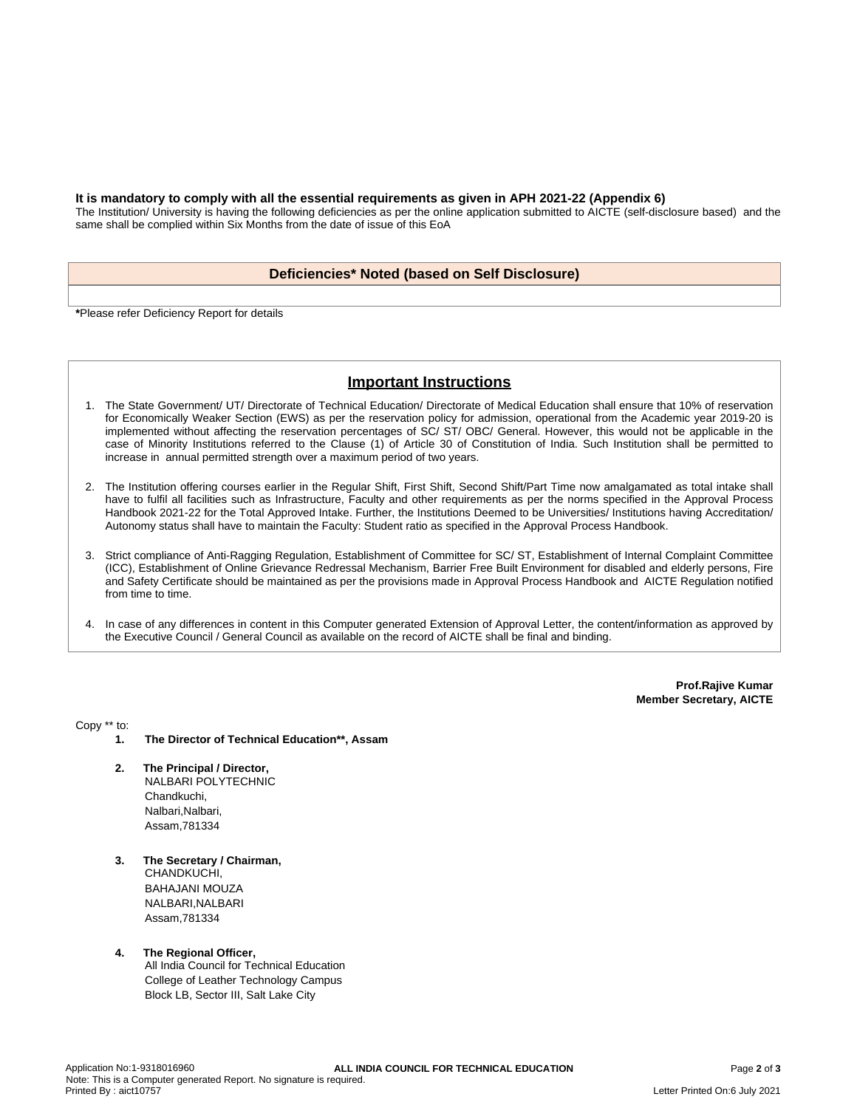#### **It is mandatory to comply with all the essential requirements as given in APH 2021-22 (Appendix 6)**

The Institution/ University is having the following deficiencies as per the online application submitted to AICTE (self-disclosure based) and the same shall be complied within Six Months from the date of issue of this EoA

### **Deficiencies\* Noted (based on Self Disclosure)**

**\***Please refer Deficiency Report for details

## **Important Instructions**

- 1. The State Government/ UT/ Directorate of Technical Education/ Directorate of Medical Education shall ensure that 10% of reservation for Economically Weaker Section (EWS) as per the reservation policy for admission, operational from the Academic year 2019-20 is implemented without affecting the reservation percentages of SC/ ST/ OBC/ General. However, this would not be applicable in the case of Minority Institutions referred to the Clause (1) of Article 30 of Constitution of India. Such Institution shall be permitted to increase in annual permitted strength over a maximum period of two years.
- 2. The Institution offering courses earlier in the Regular Shift, First Shift, Second Shift/Part Time now amalgamated as total intake shall have to fulfil all facilities such as Infrastructure, Faculty and other requirements as per the norms specified in the Approval Process Handbook 2021-22 for the Total Approved Intake. Further, the Institutions Deemed to be Universities/ Institutions having Accreditation/ Autonomy status shall have to maintain the Faculty: Student ratio as specified in the Approval Process Handbook.
- 3. Strict compliance of Anti-Ragging Regulation, Establishment of Committee for SC/ ST, Establishment of Internal Complaint Committee (ICC), Establishment of Online Grievance Redressal Mechanism, Barrier Free Built Environment for disabled and elderly persons, Fire and Safety Certificate should be maintained as per the provisions made in Approval Process Handbook and AICTE Regulation notified from time to time.
- 4. In case of any differences in content in this Computer generated Extension of Approval Letter, the content/information as approved by the Executive Council / General Council as available on the record of AICTE shall be final and binding.

**Prof.Rajive Kumar Member Secretary, AICTE**

Copy \*\* to:

- **1. The Director of Technical Education\*\*, Assam**
- **2. The Principal / Director,** NALBARI POLYTECHNIC Chandkuchi, Nalbari, Nalbari, Assam,781334
- **3. The Secretary / Chairman,** CHANDKUCHI, BAHAJANI MOUZA NALBARI,NALBARI Assam,781334
- **4. The Regional Officer,** All India Council for Technical Education College of Leather Technology Campus Block LB, Sector III, Salt Lake City